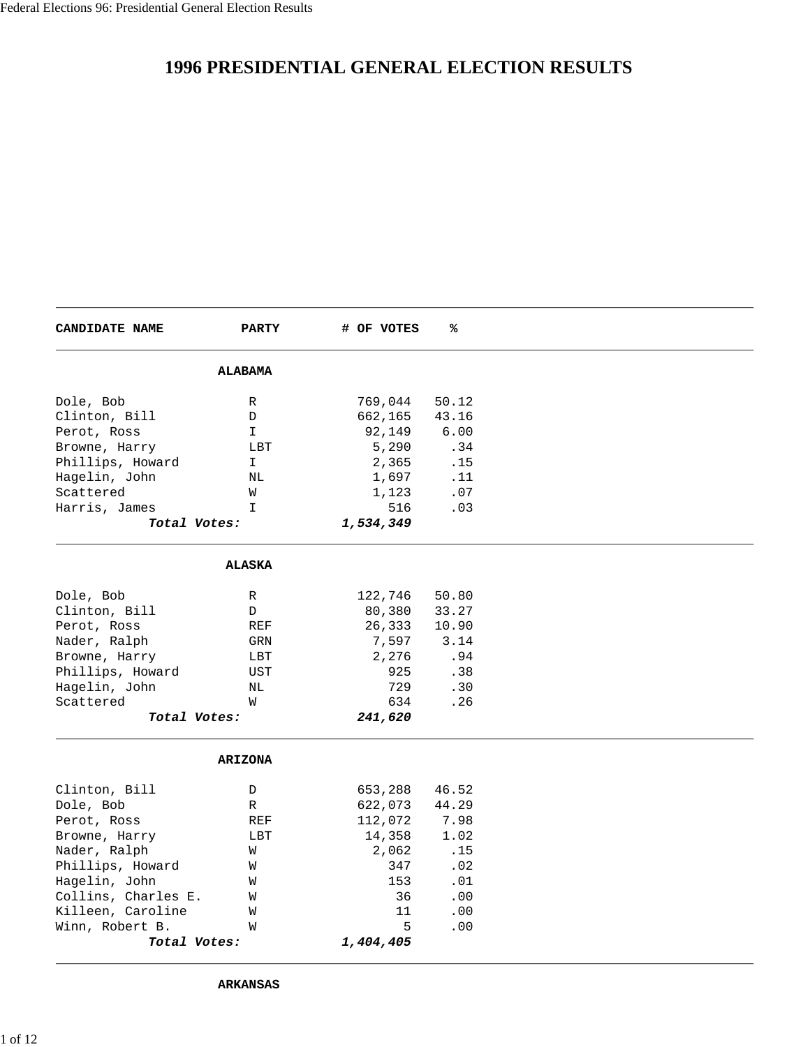# **1996 PRESIDENTIAL GENERAL ELECTION RESULTS**

| <b>CANDIDATE NAME</b> | <b>PARTY</b>   | # OF VOTES | ℁     |  |
|-----------------------|----------------|------------|-------|--|
|                       | ALABAMA        |            |       |  |
| Dole, Bob             | R              | 769,044    | 50.12 |  |
| Clinton, Bill         | D              | 662,165    | 43.16 |  |
| Perot, Ross           | I              | 92,149     | 6.00  |  |
| Browne, Harry         | LBT            | 5,290      | .34   |  |
| Phillips, Howard      | I              | 2,365      | .15   |  |
| Hagelin, John         | NL             | 1,697      | .11   |  |
| Scattered             | W              | 1,123      | .07   |  |
| Harris, James         | I.             | 516        | .03   |  |
| Total Votes:          |                | 1,534,349  |       |  |
|                       | <b>ALASKA</b>  |            |       |  |
| Dole, Bob             | R              | 122,746    | 50.80 |  |
| Clinton, Bill         | D              | 80,380     | 33.27 |  |
| Perot, Ross           | REF            | 26,333     | 10.90 |  |
| Nader, Ralph          | GRN            | 7,597      | 3.14  |  |
| Browne, Harry         | LBT            | 2,276      | .94   |  |
| Phillips, Howard      | UST            | 925        | .38   |  |
| Hagelin, John         | NL             | 729        | .30   |  |
| Scattered             | W              | 634        | .26   |  |
| Total Votes:          |                | 241,620    |       |  |
|                       | <b>ARIZONA</b> |            |       |  |
| Clinton, Bill         | D              | 653,288    | 46.52 |  |
| Dole, Bob             | R              | 622,073    | 44.29 |  |
| Perot, Ross           | REF            | 112,072    | 7.98  |  |
| Browne, Harry         | LBT            | 14,358     | 1.02  |  |
| Nader, Ralph          | W              | 2,062      | .15   |  |
| Phillips, Howard      | W              | 347        | .02   |  |
| Hagelin, John         | W              | 153        | .01   |  |
| Collins, Charles E.   | W              | 36         | .00   |  |
| Killeen, Caroline     | W              | 11         | .00   |  |
| Winn, Robert B.       | W              | 5          | .00   |  |
| Total Votes:          |                | 1,404,405  |       |  |

**ARKANSAS**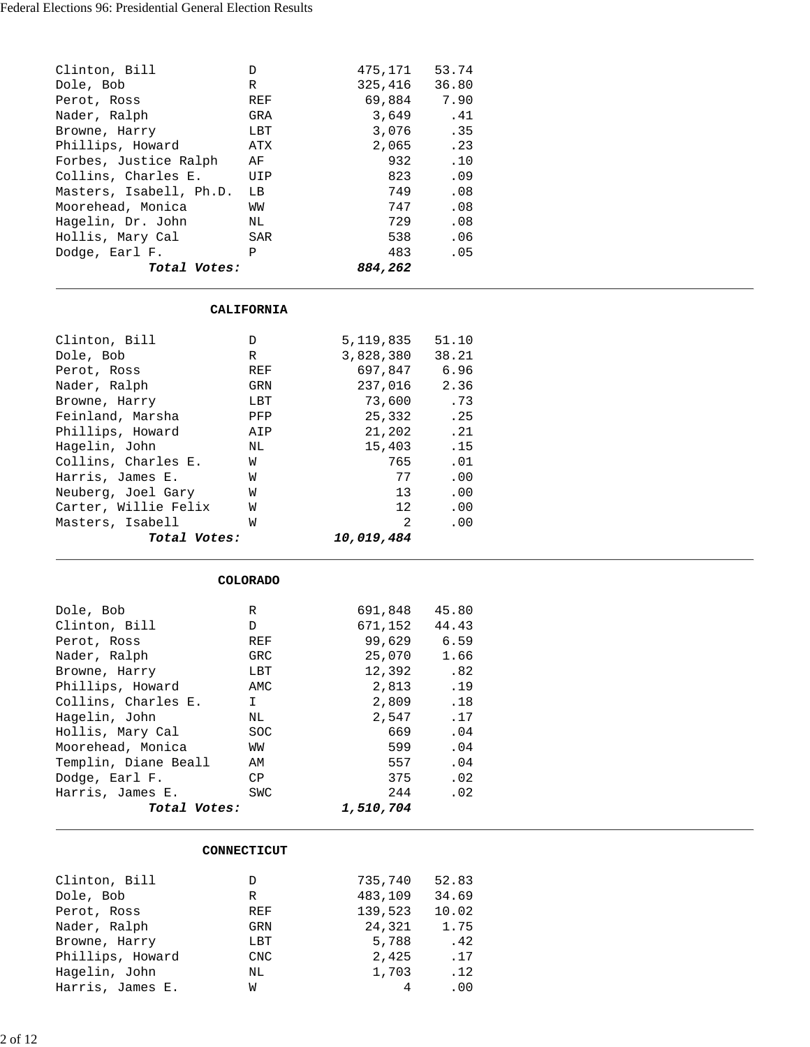| Clinton, Bill           | D            | 475,171 | 53.74 |
|-------------------------|--------------|---------|-------|
| Dole, Bob               | $\mathbb{R}$ | 325,416 | 36.80 |
| Perot, Ross             | <b>REF</b>   | 69,884  | 7.90  |
| Nader, Ralph            | GRA          | 3,649   | .41   |
| Browne, Harry           | LBT          | 3,076   | .35   |
| Phillips, Howard        | ATX          | 2,065   | .23   |
| Forbes, Justice Ralph   | AF           | 932     | .10   |
| Collins, Charles E.     | <b>UIP</b>   | 823     | .09   |
| Masters, Isabell, Ph.D. | LB           | 749     | .08   |
| Moorehead, Monica       | WW           | 747     | .08   |
| Hagelin, Dr. John       | NL.          | 729     | .08   |
| Hollis, Mary Cal        | SAR          | 538     | .06   |
| Dodge, $\text{Earl F.}$ | P            | 483     | .05   |
| Total Votes:            |              | 884,262 |       |

#### **CALIFORNIA**

| Clinton, Bill        | D.  | 5,119,835       | 51.10 |
|----------------------|-----|-----------------|-------|
| Dole, Bob            | R   | 3,828,380       | 38.21 |
| Perot, Ross          | REF | 697.847         | 6.96  |
| Nader, Ralph         | GRN | 237,016         | 2.36  |
| Browne, Harry        | LBT | 73,600          | .73   |
| Feinland, Marsha     | PFP | 25,332          | .25   |
| Phillips, Howard     | AIP | 21,202          | .21   |
| Hagelin, John        | NL  | 15,403          | .15   |
| Collins, Charles E.  | W   | 765             | .01   |
| Harris, James E.     | W   | 77              | .00   |
| Neuberg, Joel Gary   | W   | 13 <sup>°</sup> | .00   |
| Carter, Willie Felix | W   | 12 <sup>°</sup> | .00   |
| Masters, Isabell     | W   | 2               | .00   |
| Total Votes:         |     | 10,019,484      |       |

**COLORADO**

| Dole, Bob            | R            | 691,848   | 45.80 |
|----------------------|--------------|-----------|-------|
| Clinton, Bill        | D            | 671,152   | 44.43 |
| Perot, Ross          | <b>REF</b>   | 99,629    | 6.59  |
| Nader, Ralph         | <b>GRC</b>   | 25,070    | 1.66  |
| Browne, Harry        | LBT          | 12,392    | .82   |
| Phillips, Howard     | AMC          | 2,813     | .19   |
| Collins, Charles E.  | $\mathbf{I}$ | 2,809     | .18   |
| Hagelin, John        | NL           | 2,547     | .17   |
| Hollis, Mary Cal     | <b>SOC</b>   | 669       | .04   |
| Moorehead, Monica    | WM           | 599       | .04   |
| Templin, Diane Beall | AM           | 557       | .04   |
| Dodge, Earl F.       | CP           | 375       | .02   |
| Harris, James E.     | SWC          | 244       | .02   |
| Total Votes:         |              | 1,510,704 |       |

# **CONNECTICUT**

| Clinton, Bill    | <sup>D</sup> | 735,740 | 52.83 |
|------------------|--------------|---------|-------|
| Dole, Bob        | R            | 483,109 | 34.69 |
| Perot, Ross      | REF          | 139,523 | 10.02 |
| Nader, Ralph     | GRN          | 24,321  | 1.75  |
| Browne, Harry    | LBT          | 5,788   | .42   |
| Phillips, Howard | <b>CNC</b>   | 2,425   | .17   |
| Hagelin, John    | NL.          | 1,703   | .12   |
| Harris, James E. | W            | 4       | .00   |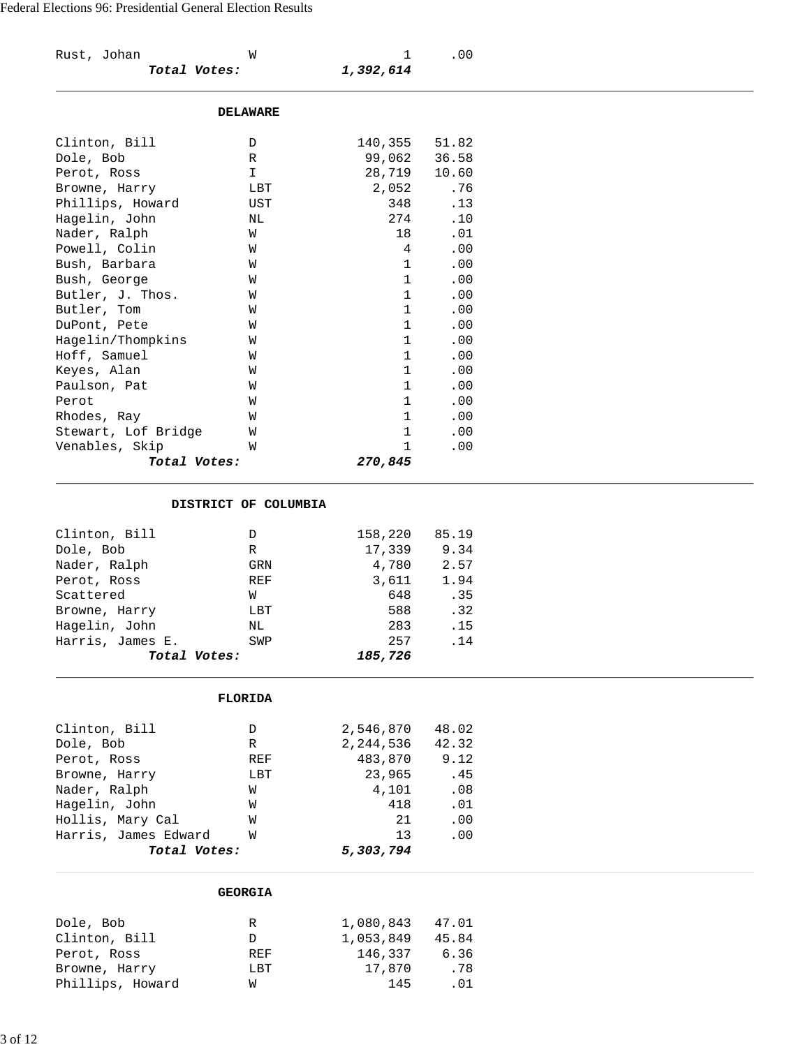## Federal Elections 96: Presidential General Election Results

| Rust, Johan         | W                    | 1            | .00   |
|---------------------|----------------------|--------------|-------|
|                     | Total Votes:         | 1,392,614    |       |
|                     | <b>DELAWARE</b>      |              |       |
| Clinton, Bill       | D                    | 140,355      | 51.82 |
| Dole, Bob           | $\mathbb{R}$         | 99,062       | 36.58 |
| Perot, Ross         | I                    | 28,719       | 10.60 |
| Browne, Harry       | LBT                  | 2,052        | .76   |
| Phillips, Howard    | UST                  | 348          | .13   |
| Hagelin, John       | ΝL                   | 274          | .10   |
| Nader, Ralph        | W                    | 18           | .01   |
| Powell, Colin       | W                    | 4            | .00   |
| Bush, Barbara       | W                    | 1            | .00   |
| Bush, George        | W                    | $\mathbf{1}$ | .00   |
| Butler, J. Thos.    | W                    | $\mathbf{1}$ | .00   |
| Butler, Tom         | W                    | 1            | .00   |
| DuPont, Pete        | W                    | $\mathbf{1}$ | .00   |
| Hagelin/Thompkins   | W                    | 1            | .00   |
| Hoff, Samuel        | W                    | $\mathbf{1}$ | .00   |
| Keyes, Alan         | W                    | 1            | .00   |
| Paulson, Pat        | W                    | 1            | .00   |
| Perot               | W                    | 1            | .00   |
| Rhodes, Ray         | W                    | $\mathbf{1}$ | .00   |
| Stewart, Lof Bridge | W                    | 1            | .00   |
| Venables, Skip      | W                    | 1            | .00   |
|                     | Total Votes:         | 270,845      |       |
|                     | DISTRICT OF COLUMBIA |              |       |
| Clinton, Bill       | $\mathbb D$          | 158,220      | 85.19 |

|                  |            | <u>------</u> |      |
|------------------|------------|---------------|------|
| Dole, Bob        | R          | 17,339        | 9.34 |
| Nader, Ralph     | <b>GRN</b> | 4,780         | 2.57 |
| Perot, Ross      | <b>REF</b> | 3,611         | 1.94 |
| Scattered        | W          | 648           | .35  |
| Browne, Harry    | LBT        | 588           | .32  |
| Hagelin, John    | NL         | 283           | .15  |
| Harris, James E. | SWP        | 257           | .14  |
| Total Votes:     |            | 185,726       |      |
|                  |            |               |      |

 **FLORIDA** 

| Clinton, Bill        | D   | 2,546,870 | 48.02 |
|----------------------|-----|-----------|-------|
| Dole, Bob            | R   | 2,244,536 | 42.32 |
|                      |     |           |       |
| Perot, Ross          | REF | 483,870   | 9.12  |
| Browne, Harry        | LBT | 23,965    | .45   |
| Nader, Ralph         | W   | 4,101     | .08   |
| Hagelin, John        | W   | 418       | .01   |
| Hollis, Mary Cal     | W   | 21        | .00   |
| Harris, James Edward | W   | 13        | .00   |
| Total Votes:         |     | 5,303,794 |       |

## **GEORGIA**

| Dole, Bob        | R            | 1,080,843 | 47.01 |
|------------------|--------------|-----------|-------|
| Clinton, Bill    | <sup>D</sup> | 1,053,849 | 45.84 |
| Perot, Ross      | REF          | 146,337   | 6.36  |
| Browne, Harry    | LBT          | 17,870    | .78   |
| Phillips, Howard | M            | 145       | .01   |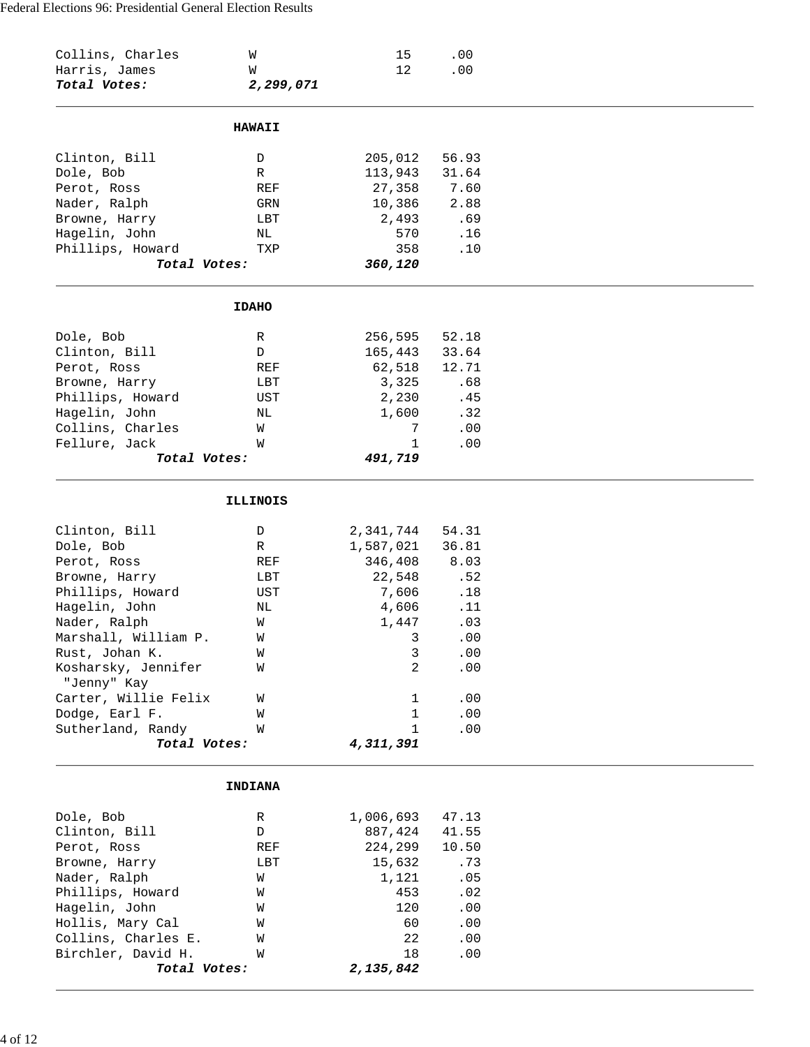# Federal Elections 96: Presidential General Election Results

| Collins, Charles              | W              | 15             | .00   |  |
|-------------------------------|----------------|----------------|-------|--|
| Harris, James                 | W              | 12             | .00   |  |
| Total Votes:                  | 2,299,071      |                |       |  |
|                               | <b>HAWAII</b>  |                |       |  |
|                               |                |                |       |  |
| Clinton, Bill                 | D              | 205,012        | 56.93 |  |
| Dole, Bob                     | R              | 113,943        | 31.64 |  |
| Perot, Ross                   | REF            | 27,358         | 7.60  |  |
| Nader, Ralph                  | GRN            | 10,386         | 2.88  |  |
| Browne, Harry                 | LBT            | 2,493          | .69   |  |
| Hagelin, John                 | ΝL             | 570            | .16   |  |
| Phillips, Howard              | TXP            | 358            | .10   |  |
| Total Votes:                  |                | 360,120        |       |  |
|                               |                |                |       |  |
|                               | <b>IDAHO</b>   |                |       |  |
| Dole, Bob                     | R              | 256,595        | 52.18 |  |
| Clinton, Bill                 | $\mathbb D$    | 165,443        | 33.64 |  |
| Perot, Ross                   | REF            | 62,518         | 12.71 |  |
| Browne, Harry                 | LBT            | 3,325          | .68   |  |
| Phillips, Howard              | UST            | 2,230          | .45   |  |
| Hagelin, John                 | ΝL             | 1,600          | .32   |  |
|                               |                |                |       |  |
| Collins, Charles              | W              | 7              | .00   |  |
| Fellure, Jack<br>Total Votes: | W              | 1              | .00   |  |
|                               |                | 491,719        |       |  |
|                               | ILLINOIS       |                |       |  |
| Clinton, Bill                 | D              | 2,341,744      | 54.31 |  |
| Dole, Bob                     | R              | 1,587,021      | 36.81 |  |
| Perot, Ross                   | REF            | 346,408        | 8.03  |  |
| Browne, Harry                 | LBT            | 22,548         | .52   |  |
| Phillips, Howard              | UST            | 7,606          | .18   |  |
| Hagelin, John                 | ΝL             | 4,606          | .11   |  |
|                               |                |                |       |  |
| Nader, Ralph                  | W              | 1,447          | .03   |  |
| Marshall, William P.          | W              | 3              | .00   |  |
| Rust, Johan K.                | W              | $\mathbf{3}$   | .00   |  |
| Kosharsky, Jennifer           | W              | $\overline{a}$ | .00   |  |
| "Jenny" Kay                   |                |                |       |  |
| Carter, Willie Felix          | M              | 1              | .00   |  |
| Dodge, Earl F.                | W              | 1              | .00   |  |
| Sutherland, Randy             | W              | 1              | .00   |  |
| Total Votes:                  |                | 4,311,391      |       |  |
|                               | <b>INDIANA</b> |                |       |  |
|                               |                |                |       |  |
| Dole, Bob                     | R              | 1,006,693      | 47.13 |  |
| Clinton, Bill                 | D              | 887,424        | 41.55 |  |
| Perot, Ross                   | REF            | 224,299        | 10.50 |  |
| Browne, Harry                 | LBT            | 15,632         | .73   |  |
| Nader, Ralph                  | W              | 1,121          | .05   |  |
| Phillips, Howard              | W              | 453            | .02   |  |
| Hagelin, John                 | W              | 120            | .00   |  |
| Hollis, Mary Cal              | W              | 60             | .00   |  |
| Collins, Charles E.           | W              | 22             | .00   |  |
| Birchler, David H.            | W              | 18             | .00   |  |
| Total Votes:                  |                | 2,135,842      |       |  |
|                               |                |                |       |  |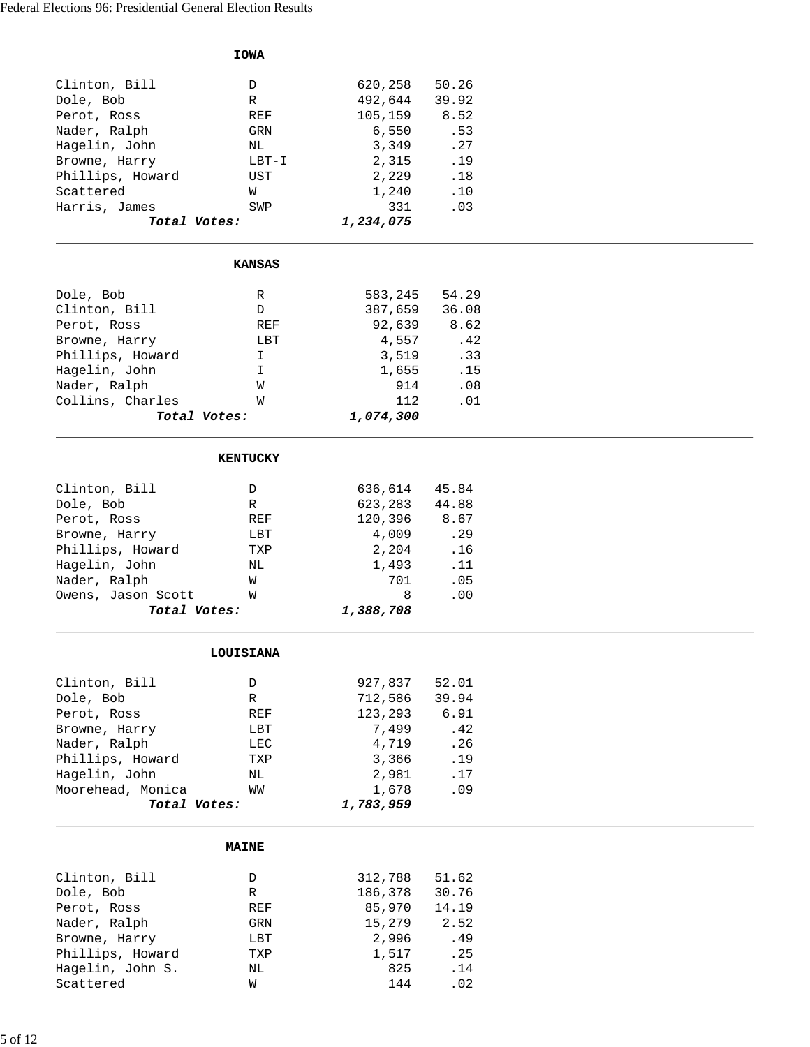|                    | <b>IOWA</b>     |           |       |  |
|--------------------|-----------------|-----------|-------|--|
| Clinton, Bill      | D               | 620,258   | 50.26 |  |
| Dole, Bob          | R               | 492,644   | 39.92 |  |
| Perot, Ross        | REF             | 105,159   | 8.52  |  |
| Nader, Ralph       | GRN             | 6,550     | .53   |  |
| Hagelin, John      | NL              | 3,349     | .27   |  |
| Browne, Harry      | $LBT-I$         | 2,315     | .19   |  |
| Phillips, Howard   | UST             | 2,229     | .18   |  |
| Scattered          | W               | 1,240     | .10   |  |
| Harris, James      | SWP             | 331       | .03   |  |
| Total Votes:       |                 | 1,234,075 |       |  |
|                    | <b>KANSAS</b>   |           |       |  |
| Dole, Bob          | R               | 583,245   | 54.29 |  |
| Clinton, Bill      | D               | 387,659   | 36.08 |  |
| Perot, Ross        | REF             | 92,639    | 8.62  |  |
| Browne, Harry      | LBT             | 4,557     | .42   |  |
| Phillips, Howard   | I               | 3,519     | .33   |  |
| Hagelin, John      | I               | 1,655     | .15   |  |
| Nader, Ralph       | W               | 914       | .08   |  |
| Collins, Charles   | W               | 112       | .01   |  |
| Total Votes:       |                 | 1,074,300 |       |  |
|                    | <b>KENTUCKY</b> |           |       |  |
|                    |                 |           |       |  |
| Clinton, Bill      | D               | 636,614   | 45.84 |  |
| Dole, Bob          | R               | 623,283   | 44.88 |  |
| Perot, Ross        | REF             | 120,396   | 8.67  |  |
| Browne, Harry      | LBT             | 4,009     | .29   |  |
| Phillips, Howard   | TXP             | 2,204     | .16   |  |
| Hagelin, John      | NL              | 1,493     | .11   |  |
| Nader, Ralph       | W               | 701       | .05   |  |
| Owens, Jason Scott | W               | 8         | .00   |  |
| Total Votes:       |                 | 1,388,708 |       |  |
|                    | LOUISIANA       |           |       |  |
| Clinton, Bill      | D               | 927,837   | 52.01 |  |
| Dole, Bob          | R               | 712,586   | 39.94 |  |
| Perot, Ross        | REF             | 123,293   | 6.91  |  |
| Browne, Harry      | LBT             | 7,499     | .42   |  |
| Nader, Ralph       | LEC             | 4,719     | .26   |  |
| Phillips, Howard   | TXP             | 3,366     | .19   |  |
| Hagelin, John      | NL              | 2,981     | .17   |  |
| Moorehead, Monica  | МM              | 1,678     | .09   |  |
| Total Votes:       |                 | 1,783,959 |       |  |
|                    | <b>MAINE</b>    |           |       |  |
| Clinton, Bill      | D               | 312,788   | 51.62 |  |
| Dole, Bob          | R               | 186,378   | 30.76 |  |
| Perot, Ross        | REF             | 85,970    | 14.19 |  |
| Nader, Ralph       | GRN             | 15,279    | 2.52  |  |
| Browne, Harry      | LBT             | 2,996     | .49   |  |
| Phillips, Howard   | TXP             | 1,517     | .25   |  |
| Hagelin, John S.   | $\rm NL$        | 825       | .14   |  |

Scattered W  $W$  144 .02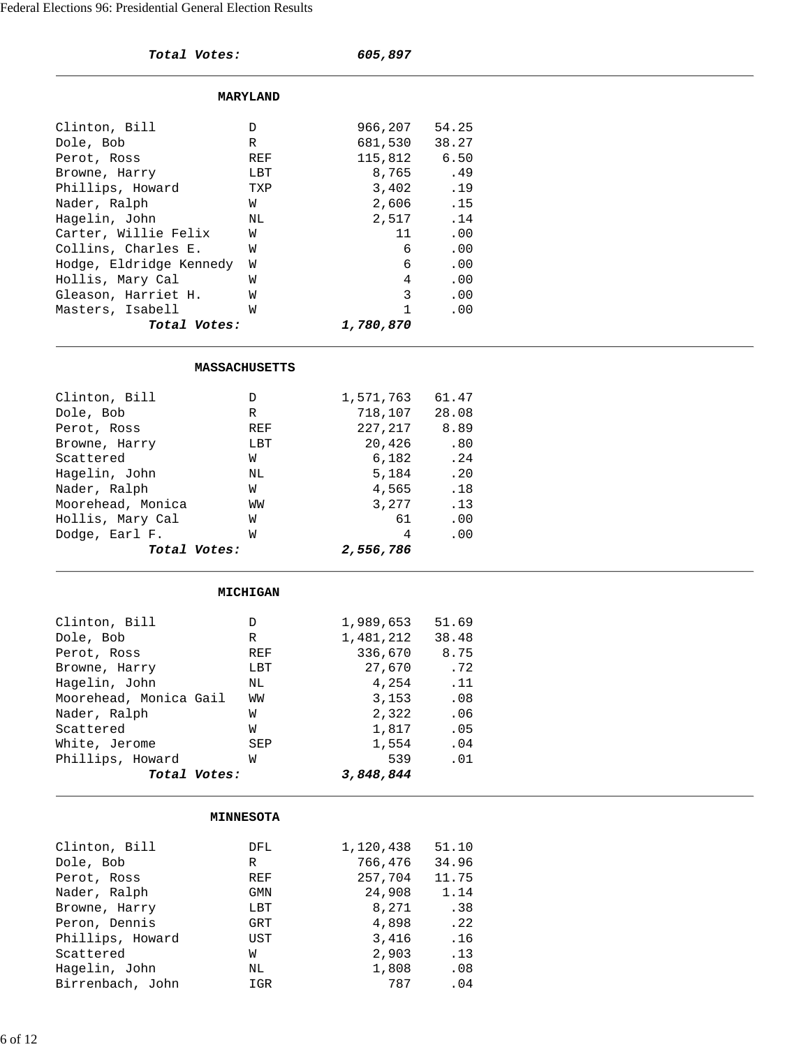| Total Votes:            |                      | 605,897   |       |  |
|-------------------------|----------------------|-----------|-------|--|
|                         | <b>MARYLAND</b>      |           |       |  |
| Clinton, Bill           | D                    | 966,207   | 54.25 |  |
| Dole, Bob               | R                    | 681,530   | 38.27 |  |
| Perot, Ross             | REF                  | 115,812   | 6.50  |  |
| Browne, Harry           | LBT                  | 8,765     | .49   |  |
| Phillips, Howard        | TXP                  | 3,402     | .19   |  |
| Nader, Ralph            | W                    | 2,606     | .15   |  |
| Hagelin, John           | ΝL                   | 2,517     | .14   |  |
| Carter, Willie Felix    | W                    | 11        | .00   |  |
| Collins, Charles E.     | W                    | 6         | .00   |  |
| Hodge, Eldridge Kennedy | W                    | 6         | .00   |  |
| Hollis, Mary Cal        | W                    | 4         | .00   |  |
| Gleason, Harriet H.     | W                    | 3         | .00   |  |
| Masters, Isabell        | W                    | 1         | .00   |  |
| Total Votes:            |                      | 1,780,870 |       |  |
|                         |                      |           |       |  |
|                         | <b>MASSACHUSETTS</b> |           |       |  |
| Clinton, Bill           | D                    | 1,571,763 | 61.47 |  |
| Dole, Bob               | R                    | 718,107   | 28.08 |  |
| Perot, Ross             | REF                  | 227,217   | 8.89  |  |
| Browne, Harry           | LBT                  | 20,426    | .80   |  |
| Scattered               | W                    | 6,182     | .24   |  |
| Hagelin, John           | ΝL                   | 5,184     | .20   |  |
| Nader, Ralph            | W                    | 4,565     | .18   |  |
| Moorehead, Monica       | WM                   | 3,277     | .13   |  |
| Hollis, Mary Cal        | W                    | 61        | .00   |  |
| Dodge, Earl F.          | W                    | 4         | .00   |  |
| Total Votes:            |                      | 2,556,786 |       |  |
|                         | <b>MICHIGAN</b>      |           |       |  |
|                         |                      |           |       |  |
| Clinton, Bill           | D                    | 1,989,653 | 51.69 |  |
| Dole, Bob               | $\mathbb R$          | 1,481,212 | 38.48 |  |
| Perot, Ross             | REF                  | 336,670   | 8.75  |  |
| Browne, Harry           | LBT                  | 27,670    | .72   |  |
| Hagelin, John           | ΝL                   | 4,254     | .11   |  |
| Moorehead, Monica Gail  | МM                   | 3,153     | .08   |  |
| Nader, Ralph            | W                    | 2,322     | .06   |  |
| Scattered               | W                    | 1,817     | .05   |  |
| White, Jerome           | SEP                  | 1,554     | .04   |  |
| Phillips, Howard        | W                    | 539       | .01   |  |
| Total Votes:            |                      | 3,848,844 |       |  |
|                         | <b>MINNESOTA</b>     |           |       |  |
| Clinton, Bill           | DFL                  | 1,120,438 | 51.10 |  |
| Dole, Bob               | R                    | 766,476   | 34.96 |  |
| Perot, Ross             | REF                  | 257,704   | 11.75 |  |
| Nader, Ralph            | GMN                  | 24,908    | 1.14  |  |
| Browne, Harry           | LBT                  | 8,271     | .38   |  |
| Peron, Dennis           | GRT                  | 4,898     | .22   |  |
| Phillips, Howard        | UST                  | 3,416     | .16   |  |
| Scattered               | M                    | 2,903     | .13   |  |
| Hagelin, John           | NL                   | 1,808     | .08   |  |
| Birrenbach, John        | IGR                  | 787       | .04   |  |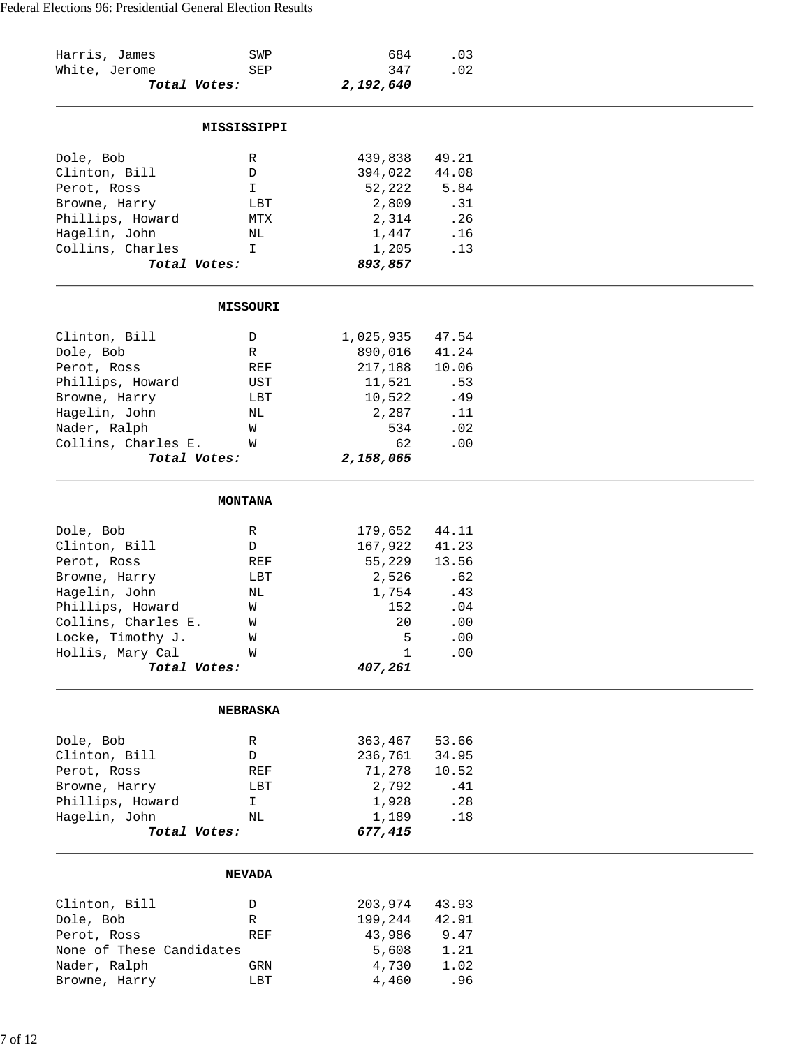| Harris, James            | SWP             | 684       | .03   |  |
|--------------------------|-----------------|-----------|-------|--|
| White, Jerome            | SEP             | 347       | .02   |  |
| Total Votes:             |                 | 2,192,640 |       |  |
|                          |                 |           |       |  |
|                          | MISSISSIPPI     |           |       |  |
| Dole, Bob                | R               | 439,838   | 49.21 |  |
| Clinton, Bill            | D               | 394,022   | 44.08 |  |
| Perot, Ross              | I.              | 52,222    | 5.84  |  |
| Browne, Harry            | LBT             | 2,809     | .31   |  |
| Phillips, Howard         | MTX             | 2,314     | .26   |  |
| Hagelin, John            | ΝL              | 1,447     | .16   |  |
| Collins, Charles         | I               | 1,205     | .13   |  |
| Total Votes:             |                 | 893,857   |       |  |
|                          |                 |           |       |  |
|                          | <b>MISSOURI</b> |           |       |  |
| Clinton, Bill            | D               | 1,025,935 | 47.54 |  |
| Dole, Bob                | R               | 890,016   | 41.24 |  |
| Perot, Ross              | REF             | 217,188   | 10.06 |  |
| Phillips, Howard         | UST             | 11,521    | .53   |  |
| Browne, Harry            | LBT             | 10,522    | .49   |  |
| Hagelin, John            | ΝL              | 2,287     | .11   |  |
| Nader, Ralph             | W               | 534       | .02   |  |
| Collins, Charles E.      | W               | 62        | .00   |  |
| Total Votes:             |                 | 2,158,065 |       |  |
|                          |                 |           |       |  |
|                          | <b>MONTANA</b>  |           |       |  |
| Dole, Bob                | R               | 179,652   | 44.11 |  |
| Clinton, Bill            | D               | 167,922   | 41.23 |  |
| Perot, Ross              | REF             | 55,229    | 13.56 |  |
| Browne, Harry            | LBT             | 2,526     | .62   |  |
| Hagelin, John            | ΝL              | 1,754     | .43   |  |
| Phillips, Howard         | W               | 152       | .04   |  |
| Collins, Charles E.      | W               | 20        | .00   |  |
| Locke, Timothy J.        | W               | 5         | .00   |  |
| Hollis, Mary Cal         | W               | 1         | .00   |  |
| Total Votes:             |                 | 407,261   |       |  |
|                          |                 |           |       |  |
|                          | <b>NEBRASKA</b> |           |       |  |
| Dole, Bob                | R               | 363,467   | 53.66 |  |
| Clinton, Bill            | D               | 236,761   | 34.95 |  |
| Perot, Ross              | REF             | 71,278    | 10.52 |  |
| Browne, Harry            | LBT             | 2,792     | .41   |  |
| Phillips, Howard         | I               | 1,928     | .28   |  |
| Hagelin, John            | ΝL              | 1,189     | .18   |  |
| Total Votes:             |                 | 677,415   |       |  |
|                          | <b>NEVADA</b>   |           |       |  |
|                          |                 |           |       |  |
| Clinton, Bill            | D               | 203,974   | 43.93 |  |
| Dole, Bob                | R               | 199,244   | 42.91 |  |
| Perot, Ross              | REF             | 43,986    | 9.47  |  |
| None of These Candidates |                 | 5,608     | 1.21  |  |
| Nader, Ralph             | GRN             | 4,730     | 1.02  |  |
| Browne, Harry            | LBT             | 4,460     | .96   |  |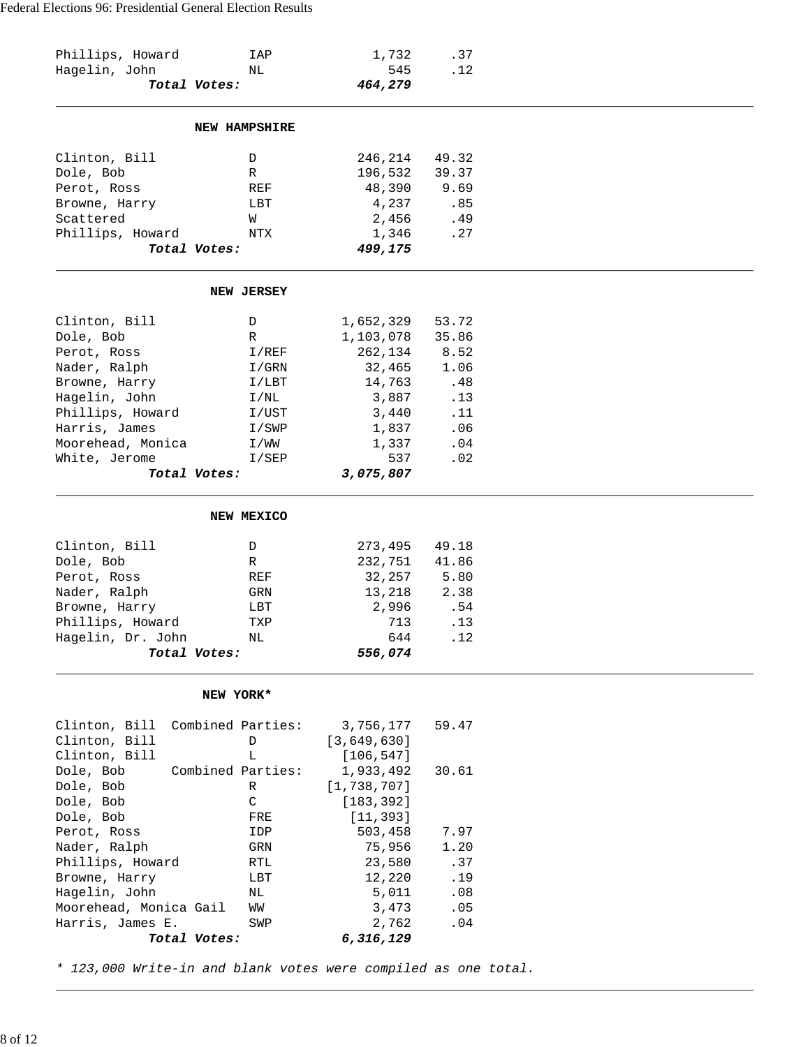| Phillips, Howard       | IAP                  | 1,732         | .37   |  |
|------------------------|----------------------|---------------|-------|--|
| Hagelin, John          | NL                   | 545           | .12   |  |
|                        | Total Votes:         | 464,279       |       |  |
|                        |                      |               |       |  |
|                        | <b>NEW HAMPSHIRE</b> |               |       |  |
| Clinton, Bill          | D                    | 246,214       | 49.32 |  |
| Dole, Bob              | R                    | 196,532       | 39.37 |  |
| Perot, Ross            | REF                  | 48,390        | 9.69  |  |
| Browne, Harry          | LBT                  | 4,237         | .85   |  |
| Scattered              | W                    | 2,456         | .49   |  |
| Phillips, Howard       | NTX                  | 1,346         | .27   |  |
|                        | Total Votes:         | 499,175       |       |  |
|                        | <b>NEW JERSEY</b>    |               |       |  |
| Clinton, Bill          | D                    | 1,652,329     | 53.72 |  |
| Dole, Bob              | R                    | 1,103,078     | 35.86 |  |
| Perot, Ross            | I/REF                | 262,134       | 8.52  |  |
| Nader, Ralph           | I/GRN                | 32,465        | 1.06  |  |
| Browne, Harry          | I/LBT                | 14,763        | .48   |  |
| Hagelin, John          | I/NL                 | 3,887         | .13   |  |
| Phillips, Howard       | I/UST                | 3,440         | .11   |  |
| Harris, James          | I/SWP                | 1,837         | .06   |  |
| Moorehead, Monica      | I/WW                 | 1,337         | .04   |  |
| White, Jerome          | I/SEP                | 537           | .02   |  |
|                        | Total Votes:         | 3,075,807     |       |  |
|                        |                      |               |       |  |
|                        | NEW MEXICO           |               |       |  |
| Clinton, Bill          | D                    | 273,495       | 49.18 |  |
| Dole, Bob              | R                    | 232,751       | 41.86 |  |
| Perot, Ross            | REF                  | 32,257        | 5.80  |  |
| Nader, Ralph           | GRN                  | 13,218        | 2.38  |  |
| Browne, Harry          | LBT                  | 2,996         | .54   |  |
| Phillips, Howard       | TXP                  | 713           | .13   |  |
| Hagelin, Dr. John      | $\rm NL$             | 644           | .12   |  |
|                        | Total Votes:         | 556,074       |       |  |
|                        | NEW YORK*            |               |       |  |
| Clinton, Bill          | Combined Parties:    | 3,756,177     | 59.47 |  |
| Clinton, Bill          | $\mathbb D$          | [3,649,630]   |       |  |
| Clinton, Bill          | L                    | [106, 547]    |       |  |
| Dole, Bob              | Combined Parties:    | 1,933,492     | 30.61 |  |
| Dole, Bob              | R                    | [1, 738, 707] |       |  |
| Dole, Bob              | C                    | [183, 392]    |       |  |
| Dole, Bob              | FRE                  | [11, 393]     |       |  |
| Perot, Ross            | IDP                  | 503,458       | 7.97  |  |
| Nader, Ralph           | GRN                  | 75,956        | 1.20  |  |
| Phillips, Howard       | RTL                  | 23,580        | .37   |  |
| Browne, Harry          | LBT                  | 12,220        | .19   |  |
| Hagelin, John          | NL                   | 5,011         | .08   |  |
| Moorehead, Monica Gail | WM                   | 3,473         | .05   |  |
| Harris, James E.       | SWP                  | 2,762         | .04   |  |
|                        | Total Votes:         | 6,316,129     |       |  |
|                        |                      |               |       |  |

*\* 123,000 Write-in and blank votes were compiled as one total.*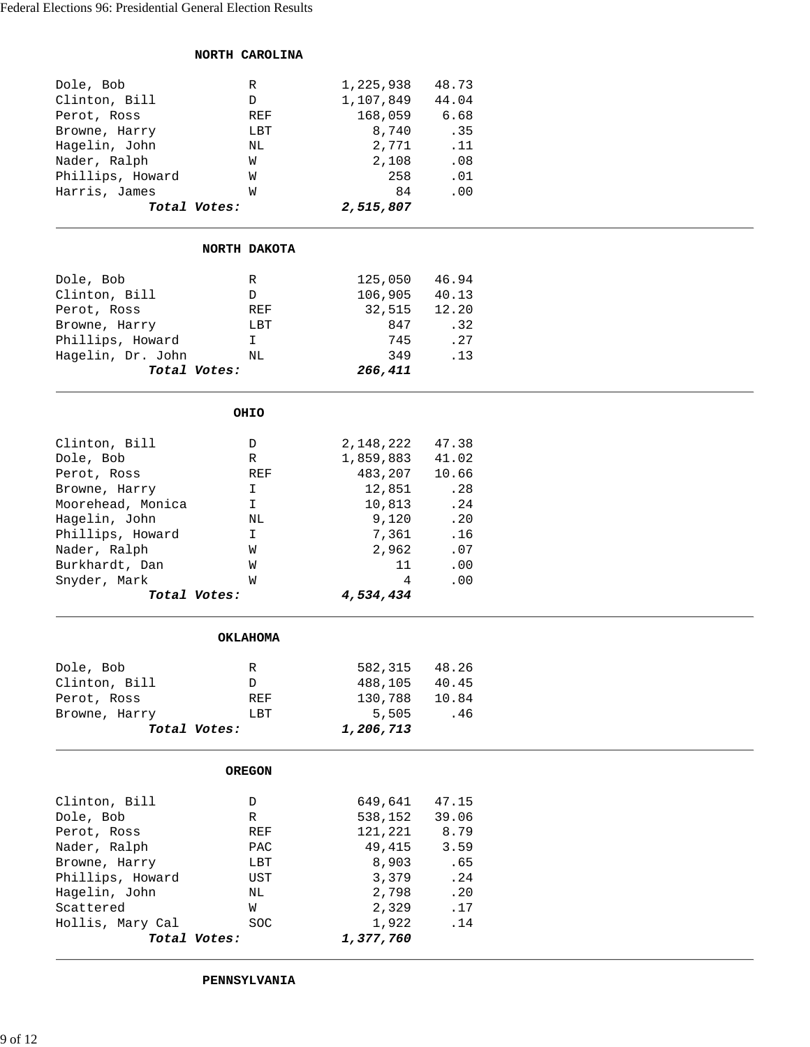|                                  | NORTH CAROLINA      |                |                |
|----------------------------------|---------------------|----------------|----------------|
|                                  |                     |                |                |
| Dole, Bob                        | R<br>$\mathbb D$    | 1,225,938      | 48.73<br>44.04 |
| Clinton, Bill                    |                     | 1,107,849      | 6.68           |
| Perot, Ross                      | REF                 | 168,059        |                |
| Browne, Harry                    | LBT                 | 8,740          | .35<br>.11     |
| Hagelin, John                    | N <sub>L</sub><br>W | 2,771<br>2,108 | .08            |
| Nader, Ralph<br>Phillips, Howard | W                   | 258            | .01            |
| Harris, James                    | W                   | 84             | .00            |
|                                  | Total Votes:        | 2,515,807      |                |
|                                  |                     |                |                |
|                                  | NORTH DAKOTA        |                |                |
| Dole, Bob                        | R                   | 125,050        | 46.94          |
| Clinton, Bill                    | D                   | 106,905        | 40.13          |
| Perot, Ross                      | REF                 | 32,515         | 12.20          |
| Browne, Harry                    | LBT                 | 847            | .32            |
| Phillips, Howard                 | I                   | 745            | .27            |
| Hagelin, Dr. John                | NL                  | 349            | .13            |
|                                  | Total Votes:        | 266,411        |                |
|                                  | <b>OHIO</b>         |                |                |
|                                  |                     |                |                |
| Clinton, Bill                    | D                   | 2,148,222      | 47.38          |
| Dole, Bob                        | $\mathbb R$         | 1,859,883      | 41.02          |
| Perot, Ross                      | REF                 | 483,207        | 10.66          |
| Browne, Harry                    | I                   | 12,851         | .28            |
| Moorehead, Monica                | I                   | 10,813         | .24            |
| Hagelin, John                    | ΝL                  | 9,120          | .20            |
| Phillips, Howard                 | I                   | 7,361          | .16            |
| Nader, Ralph                     | W                   | 2,962          | .07            |
| Burkhardt, Dan                   | W                   | 11             | .00            |
| Snyder, Mark                     | W                   | 4              | .00            |
|                                  | Total Votes:        | 4,534,434      |                |
|                                  | OKLAHOMA            |                |                |
| Dole, Bob                        | R                   | 582,315        | 48.26          |
| Clinton, Bill                    | D                   | 488,105        | 40.45          |
| Perot, Ross                      | REF                 | 130,788        | 10.84          |
| Browne, Harry                    | LBT                 | 5,505          | .46            |
|                                  | Total Votes:        | 1,206,713      |                |
|                                  | <b>OREGON</b>       |                |                |
|                                  |                     |                |                |
| Clinton, Bill                    | D                   | 649,641        | 47.15          |
| Dole, Bob                        | R                   | 538,152        | 39.06          |
| Perot, Ross                      | REF                 | 121,221        | 8.79           |
| Nader, Ralph                     | PAC                 | 49,415         | 3.59           |
| Browne, Harry                    | LBT                 | 8,903          | .65            |
| Phillips, Howard                 | UST                 | 3,379          | .24            |
| Hagelin, John                    | ΝL                  | 2,798          | .20            |
| Scattered                        | W                   | 2,329          | .17            |
| Hollis, Mary Cal                 | SOC                 | 1,922          | .14            |
|                                  | Total Votes:        | 1,377,760      |                |

**PENNSYLVANIA**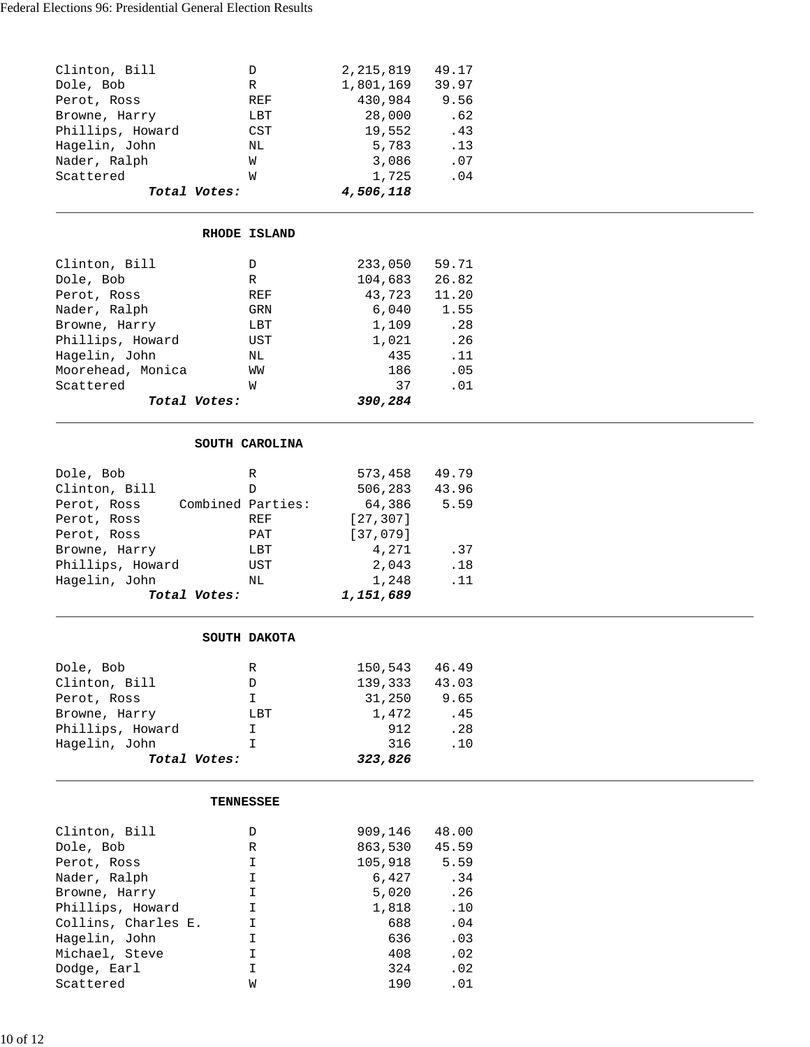| Clinton, Bill            | D                 | 2, 215, 819 | 49.17      |  |
|--------------------------|-------------------|-------------|------------|--|
| Dole, Bob                | R                 | 1,801,169   | 39.97      |  |
| Perot, Ross              | REF               | 430,984     | 9.56       |  |
| Browne, Harry            | LBT               | 28,000      | .62        |  |
| Phillips, Howard         | CST               | 19,552      | .43        |  |
| Hagelin, John            | ΝL                | 5,783       | .13        |  |
| Nader, Ralph             | W                 | 3,086       | .07        |  |
| Scattered                | W                 | 1,725       | .04        |  |
| Total Votes:             |                   | 4,506,118   |            |  |
|                          |                   |             |            |  |
|                          | RHODE ISLAND      |             |            |  |
| Clinton, Bill            | D                 | 233,050     | 59.71      |  |
| Dole, Bob                | R                 | 104,683     | 26.82      |  |
| Perot, Ross              | REF               | 43,723      | 11.20      |  |
| Nader, Ralph             | GRN               | 6,040       | 1.55       |  |
| Browne, Harry            | LBT               | 1,109       | .28        |  |
| Phillips, Howard         | UST               | 1,021       | .26        |  |
| Hagelin, John            | NL                | 435         | .11        |  |
| Moorehead, Monica        | WM                | 186         | .05        |  |
| Scattered                | W                 | 37          | .01        |  |
| Total Votes:             |                   | 390,284     |            |  |
|                          |                   |             |            |  |
|                          | SOUTH CAROLINA    |             |            |  |
| Dole, Bob                | R                 | 573,458     | 49.79      |  |
| Clinton, Bill            | D                 | 506,283     | 43.96      |  |
| Perot, Ross              | Combined Parties: | 64,386      | 5.59       |  |
| Perot, Ross              | REF               | [27, 307]   |            |  |
| Perot, Ross              | PAT               | [37,079]    |            |  |
| Browne, Harry            | LBT               | 4,271       | .37        |  |
| Phillips, Howard         | UST               | 2,043       | .18        |  |
| Hagelin, John            | ΝL                | 1,248       | .11        |  |
| Total Votes:             |                   | 1,151,689   |            |  |
|                          | SOUTH DAKOTA      |             |            |  |
| Dole, Bob                | R                 | 150,543     | 46.49      |  |
| Clinton, Bill            | D                 | 139,333     | 43.03      |  |
| Perot, Ross              | I                 | 31,250      | 9.65       |  |
| Browne, Harry            | LBT               | 1,472       | .45        |  |
| Phillips, Howard         | I                 | 912         | .28        |  |
| Hagelin, John            | I.                | 316         | .10        |  |
| Total Votes:             |                   | 323,826     |            |  |
|                          | <b>TENNESSEE</b>  |             |            |  |
|                          |                   |             |            |  |
| Clinton, Bill            | D                 | 909,146     | 48.00      |  |
| Dole, Bob                | R                 | 863,530     | 45.59      |  |
| Perot, Ross              | I                 | 105,918     | 5.59       |  |
| Nader, Ralph             | I                 | 6,427       | .34        |  |
| Browne, Harry            | I                 | 5,020       | .26        |  |
| Phillips, Howard         |                   |             |            |  |
|                          | I                 | 1,818       | $.10$      |  |
| Collins, Charles E.      | I                 | 688         | .04        |  |
| Hagelin, John            | I                 | 636         | .03        |  |
| Michael, Steve           | I                 | 408         | .02        |  |
| Dodge, Earl<br>Scattered | I<br>W            | 324<br>190  | .02<br>.01 |  |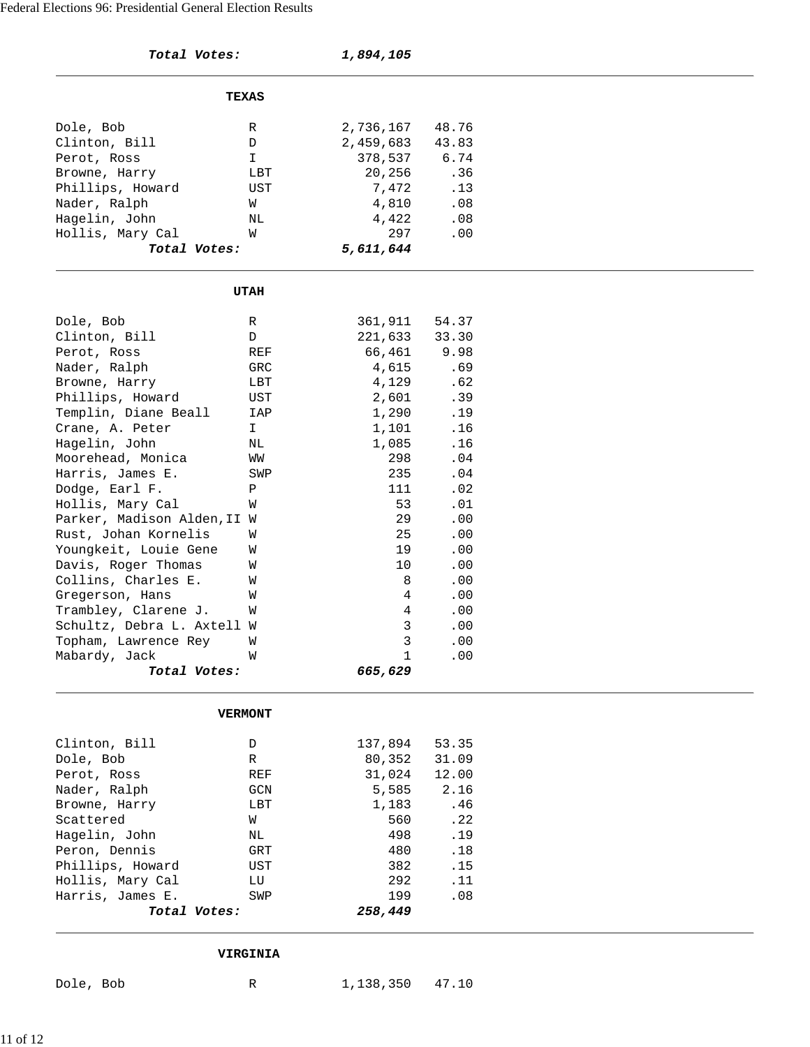| Total Votes:                |                | 1,894,105 |       |  |
|-----------------------------|----------------|-----------|-------|--|
|                             | <b>TEXAS</b>   |           |       |  |
| Dole, Bob                   | R              | 2,736,167 | 48.76 |  |
| Clinton, Bill               | $\mathbb D$    | 2,459,683 | 43.83 |  |
| Perot, Ross                 | I              | 378,537   | 6.74  |  |
| Browne, Harry               | LBT            | 20,256    | .36   |  |
| Phillips, Howard            | UST            | 7,472     | .13   |  |
| Nader, Ralph                | W              | 4,810     | .08   |  |
| Hagelin, John               | ΝL             | 4,422     | .08   |  |
| Hollis, Mary Cal            | W              | 297       | .00   |  |
| Total Votes:                |                | 5,611,644 |       |  |
|                             | <b>UTAH</b>    |           |       |  |
| Dole, Bob                   | R              | 361,911   | 54.37 |  |
| Clinton, Bill               | D              | 221,633   | 33.30 |  |
| Perot, Ross                 | REF            | 66,461    | 9.98  |  |
| Nader, Ralph                | GRC            | 4,615     | .69   |  |
| Browne, Harry               | LBT            | 4,129     | .62   |  |
| Phillips, Howard            | UST            | 2,601     | .39   |  |
| Templin, Diane Beall        | IAP            | 1,290     | .19   |  |
| Crane, A. Peter             | I.             | 1,101     | .16   |  |
| Hagelin, John               | ΝL             | 1,085     | .16   |  |
| Moorehead, Monica           | WM             | 298       | .04   |  |
| Harris, James E.            | SWP            | 235       | .04   |  |
| Dodge, Earl F.              | Ρ              | 111       | .02   |  |
| Hollis, Mary Cal            | W              | 53        | .01   |  |
| Parker, Madison Alden, II W |                | 29        | .00   |  |
| Rust, Johan Kornelis        | W              | 25        | .00   |  |
| Youngkeit, Louie Gene       | W              | 19        | .00   |  |
| Davis, Roger Thomas         | W              | 10        | .00   |  |
| Collins, Charles E.         | W              | 8         | .00   |  |
| Gregerson, Hans             | W              | 4         | .00   |  |
| Trambley, Clarene J.        | W              | 4         | .00   |  |
| Schultz, Debra L. Axtell W  |                | 3         | .00   |  |
| Topham, Lawrence Rey        | W              | 3         | .00   |  |
| Mabardy, Jack               | W              | 1         | .00   |  |
| Total Votes:                |                | 665,629   |       |  |
|                             | <b>VERMONT</b> |           |       |  |
| Clinton, Bill               | D              | 137,894   | 53.35 |  |
| Dole, Bob                   | R              | 80,352    | 31.09 |  |
| Perot, Ross                 | REF            | 31,024    | 12.00 |  |
| Nader, Ralph                | GCN            | 5,585     | 2.16  |  |
| Browne, Harry               | LBT            | 1,183     | .46   |  |
| Scattered                   | W              | 560       | .22   |  |
| Hagelin, John               | NL             | 498       | .19   |  |
| Peron, Dennis               | GRT            | 480       | .18   |  |
| Phillips, Howard            | UST            | 382       | .15   |  |
| Hollis, Mary Cal            | LU             | 292       | .11   |  |
| Harris, James E.            | SWP            | 199       | .08   |  |
| Total Votes:                |                | 258,449   |       |  |
|                             | VIRGINIA       |           |       |  |
| Dole, Bob                   | R              | 1,138,350 | 47.10 |  |
|                             |                |           |       |  |